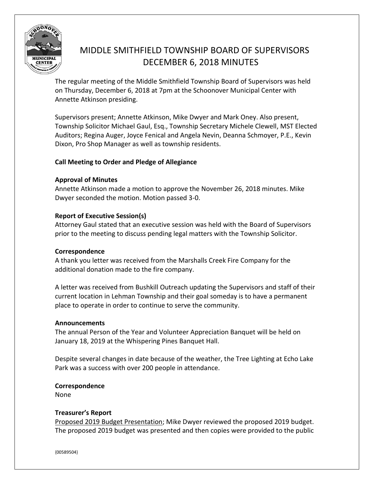

# MIDDLE SMITHFIELD TOWNSHIP BOARD OF SUPERVISORS DECEMBER 6, 2018 MINUTES

The regular meeting of the Middle Smithfield Township Board of Supervisors was held on Thursday, December 6, 2018 at 7pm at the Schoonover Municipal Center with Annette Atkinson presiding.

Supervisors present; Annette Atkinson, Mike Dwyer and Mark Oney. Also present, Township Solicitor Michael Gaul, Esq., Township Secretary Michele Clewell, MST Elected Auditors; Regina Auger, Joyce Fenical and Angela Nevin, Deanna Schmoyer, P.E., Kevin Dixon, Pro Shop Manager as well as township residents.

# **Call Meeting to Order and Pledge of Allegiance**

# **Approval of Minutes**

Annette Atkinson made a motion to approve the November 26, 2018 minutes. Mike Dwyer seconded the motion. Motion passed 3-0.

# **Report of Executive Session(s)**

Attorney Gaul stated that an executive session was held with the Board of Supervisors prior to the meeting to discuss pending legal matters with the Township Solicitor.

# **Correspondence**

A thank you letter was received from the Marshalls Creek Fire Company for the additional donation made to the fire company.

A letter was received from Bushkill Outreach updating the Supervisors and staff of their current location in Lehman Township and their goal someday is to have a permanent place to operate in order to continue to serve the community.

## **Announcements**

The annual Person of the Year and Volunteer Appreciation Banquet will be held on January 18, 2019 at the Whispering Pines Banquet Hall.

Despite several changes in date because of the weather, the Tree Lighting at Echo Lake Park was a success with over 200 people in attendance.

## **Correspondence**

None

# **Treasurer's Report**

Proposed 2019 Budget Presentation; Mike Dwyer reviewed the proposed 2019 budget. The proposed 2019 budget was presented and then copies were provided to the public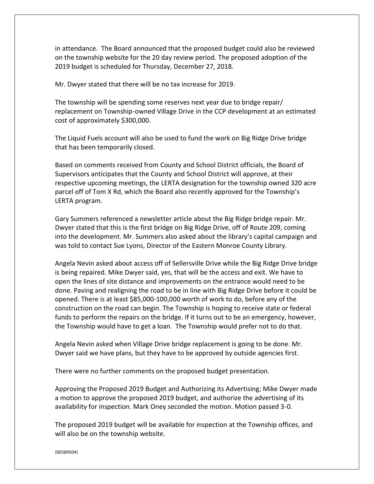in attendance. The Board announced that the proposed budget could also be reviewed on the township website for the 20 day review period. The proposed adoption of the 2019 budget is scheduled for Thursday, December 27, 2018.

Mr. Dwyer stated that there will be no tax increase for 2019.

The township will be spending some reserves next year due to bridge repair/ replacement on Township-owned Village Drive in the CCP development at an estimated cost of approximately \$300,000.

The Liquid Fuels account will also be used to fund the work on Big Ridge Drive bridge that has been temporarily closed.

Based on comments received from County and School District officials, the Board of Supervisors anticipates that the County and School District will approve, at their respective upcoming meetings, the LERTA designation for the township owned 320 acre parcel off of Tom X Rd, which the Board also recently approved for the Township's LERTA program.

Gary Summers referenced a newsletter article about the Big Ridge bridge repair. Mr. Dwyer stated that this is the first bridge on Big Ridge Drive, off of Route 209, coming into the development. Mr. Summers also asked about the library's capital campaign and was told to contact Sue Lyons, Director of the Eastern Monroe County Library.

Angela Nevin asked about access off of Sellersville Drive while the Big Ridge Drive bridge is being repaired. Mike Dwyer said, yes, that will be the access and exit. We have to open the lines of site distance and improvements on the entrance would need to be done. Paving and realigning the road to be in line with Big Ridge Drive before it could be opened. There is at least \$85,000-100,000 worth of work to do, before any of the construction on the road can begin. The Township is hoping to receive state or federal funds to perform the repairs on the bridge. If it turns out to be an emergency, however, the Township would have to get a loan. The Township would prefer not to do that.

Angela Nevin asked when Village Drive bridge replacement is going to be done. Mr. Dwyer said we have plans, but they have to be approved by outside agencies first.

There were no further comments on the proposed budget presentation.

Approving the Proposed 2019 Budget and Authorizing its Advertising; Mike Dwyer made a motion to approve the proposed 2019 budget, and authorize the advertising of its availability for inspection. Mark Oney seconded the motion. Motion passed 3-0.

The proposed 2019 budget will be available for inspection at the Township offices, and will also be on the township website.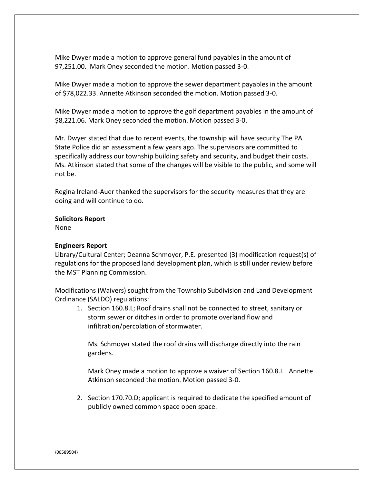Mike Dwyer made a motion to approve general fund payables in the amount of 97,251.00. Mark Oney seconded the motion. Motion passed 3-0.

Mike Dwyer made a motion to approve the sewer department payables in the amount of \$78,022.33. Annette Atkinson seconded the motion. Motion passed 3-0.

Mike Dwyer made a motion to approve the golf department payables in the amount of \$8,221.06. Mark Oney seconded the motion. Motion passed 3-0.

Mr. Dwyer stated that due to recent events, the township will have security The PA State Police did an assessment a few years ago. The supervisors are committed to specifically address our township building safety and security, and budget their costs. Ms. Atkinson stated that some of the changes will be visible to the public, and some will not be.

Regina Ireland-Auer thanked the supervisors for the security measures that they are doing and will continue to do.

#### **Solicitors Report**

None

#### **Engineers Report**

Library/Cultural Center; Deanna Schmoyer, P.E. presented (3) modification request(s) of regulations for the proposed land development plan, which is still under review before the MST Planning Commission.

Modifications (Waivers) sought from the Township Subdivision and Land Development Ordinance (SALDO) regulations:

1. Section 160.8.L; Roof drains shall not be connected to street, sanitary or storm sewer or ditches in order to promote overland flow and infiltration/percolation of stormwater.

Ms. Schmoyer stated the roof drains will discharge directly into the rain gardens.

Mark Oney made a motion to approve a waiver of Section 160.8.I. Annette Atkinson seconded the motion. Motion passed 3-0.

2. Section 170.70.D; applicant is required to dedicate the specified amount of publicly owned common space open space.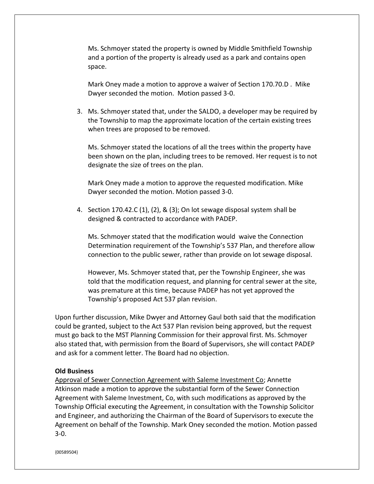Ms. Schmoyer stated the property is owned by Middle Smithfield Township and a portion of the property is already used as a park and contains open space.

Mark Oney made a motion to approve a waiver of Section 170.70.D . Mike Dwyer seconded the motion. Motion passed 3-0.

3. Ms. Schmoyer stated that, under the SALDO, a developer may be required by the Township to map the approximate location of the certain existing trees when trees are proposed to be removed.

Ms. Schmoyer stated the locations of all the trees within the property have been shown on the plan, including trees to be removed. Her request is to not designate the size of trees on the plan.

Mark Oney made a motion to approve the requested modification. Mike Dwyer seconded the motion. Motion passed 3-0.

4. Section 170.42.C (1), (2), & (3); On lot sewage disposal system shall be designed & contracted to accordance with PADEP.

Ms. Schmoyer stated that the modification would waive the Connection Determination requirement of the Township's 537 Plan, and therefore allow connection to the public sewer, rather than provide on lot sewage disposal.

However, Ms. Schmoyer stated that, per the Township Engineer, she was told that the modification request, and planning for central sewer at the site, was premature at this time, because PADEP has not yet approved the Township's proposed Act 537 plan revision.

Upon further discussion, Mike Dwyer and Attorney Gaul both said that the modification could be granted, subject to the Act 537 Plan revision being approved, but the request must go back to the MST Planning Commission for their approval first. Ms. Schmoyer also stated that, with permission from the Board of Supervisors, she will contact PADEP and ask for a comment letter. The Board had no objection.

#### **Old Business**

Approval of Sewer Connection Agreement with Saleme Investment Co; Annette Atkinson made a motion to approve the substantial form of the Sewer Connection Agreement with Saleme Investment, Co, with such modifications as approved by the Township Official executing the Agreement, in consultation with the Township Solicitor and Engineer, and authorizing the Chairman of the Board of Supervisors to execute the Agreement on behalf of the Township. Mark Oney seconded the motion. Motion passed 3-0.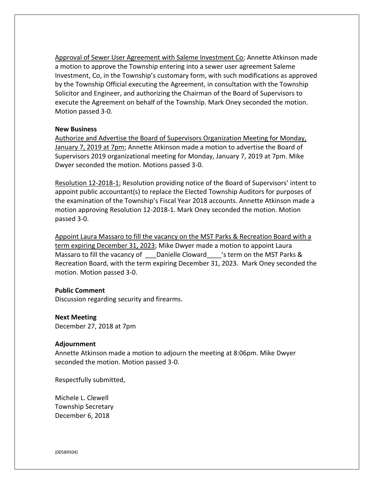Approval of Sewer User Agreement with Saleme Investment Co; Annette Atkinson made a motion to approve the Township entering into a sewer user agreement Saleme Investment, Co, in the Township's customary form, with such modifications as approved by the Township Official executing the Agreement, in consultation with the Township Solicitor and Engineer, and authorizing the Chairman of the Board of Supervisors to execute the Agreement on behalf of the Township. Mark Oney seconded the motion. Motion passed 3-0.

#### **New Business**

Authorize and Advertise the Board of Supervisors Organization Meeting for Monday, January 7, 2019 at 7pm; Annette Atkinson made a motion to advertise the Board of Supervisors 2019 organizational meeting for Monday, January 7, 2019 at 7pm. Mike Dwyer seconded the motion. Motions passed 3-0.

Resolution 12-2018-1; Resolution providing notice of the Board of Supervisors' intent to appoint public accountant(s) to replace the Elected Township Auditors for purposes of the examination of the Township's Fiscal Year 2018 accounts. Annette Atkinson made a motion approving Resolution 12-2018-1. Mark Oney seconded the motion. Motion passed 3-0.

Appoint Laura Massaro to fill the vacancy on the MST Parks & Recreation Board with a term expiring December 31, 2023; Mike Dwyer made a motion to appoint Laura Massaro to fill the vacancy of \_\_\_Danielle Cloward \[ \] 's term on the MST Parks & Recreation Board, with the term expiring December 31, 2023. Mark Oney seconded the motion. Motion passed 3-0.

#### **Public Comment**

Discussion regarding security and firearms.

#### **Next Meeting**

December 27, 2018 at 7pm

#### **Adjournment**

Annette Atkinson made a motion to adjourn the meeting at 8:06pm. Mike Dwyer seconded the motion. Motion passed 3-0.

Respectfully submitted,

Michele L. Clewell Township Secretary December 6, 2018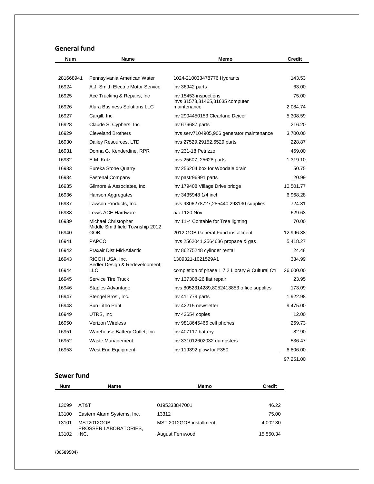# **General fund**

| <b>Num</b> | Name                                                   | <b>Memo</b>                                      | <b>Credit</b> |
|------------|--------------------------------------------------------|--------------------------------------------------|---------------|
|            |                                                        |                                                  |               |
| 281668941  | Pennsylvania American Water                            | 1024-210033478776 Hydrants                       | 143.53        |
| 16924      | A.J. Smith Electric Motor Service                      | inv 36942 parts                                  | 63.00         |
| 16925      | Ace Trucking & Repairs, Inc.                           | inv 15453 inspections                            | 75.00         |
| 16926      | Alura Business Solutions LLC                           | invs 31573,31465,31635 computer<br>maintenance   | 2,084.74      |
| 16927      | Cargill, Inc                                           | inv 2904450153 Clearlane Deicer                  | 5,308.59      |
| 16928      | Claude S. Cyphers, Inc.                                | inv 676687 parts                                 | 216.20        |
| 16929      | <b>Cleveland Brothers</b>                              | invs serv7104905,906 generator maintenance       | 3.700.00      |
| 16930      | Dailey Resources, LTD                                  | invs 27529,29152,6529 parts                      | 228.87        |
| 16931      | Donna G. Kenderdine, RPR                               | inv 231-18 Petrizzo                              | 469.00        |
| 16932      | E.M. Kutz                                              | invs 25607, 25628 parts                          | 1,319.10      |
| 16933      | Eureka Stone Quarry                                    | iny 256204 box for Woodale drain                 | 50.75         |
| 16934      | <b>Fastenal Company</b>                                | inv pastr96991 parts                             | 20.99         |
| 16935      | Gilmore & Associates, Inc.                             | inv 179408 Village Drive bridge                  | 10,501.77     |
| 16936      | Hanson Aggregates                                      | inv 3435948 1/4 inch                             | 6,968.28      |
| 16937      | Lawson Products, Inc.                                  | invs 9306278727,285440,298130 supplies           | 724.81        |
| 16938      | Lewis ACE Hardware                                     | a/c 1120 Nov                                     | 629.63        |
| 16939      | Michael Christopher<br>Middle Smithfield Township 2012 | inv 11-4 Contable for Tree lighting              | 70.00         |
| 16940      | GOB                                                    | 2012 GOB General Fund installment                | 12,996.88     |
| 16941      | PAPCO                                                  | invs 2562041,2564636 propane & gas               | 5,418.27      |
| 16942      | Praxair Dist Mid-Atlantic                              | inv 86275248 cylinder rental                     | 24.48         |
| 16943      | RICOH USA, Inc.<br>Sedler Design & Redevelopment,      | 1309321-1021529A1                                | 334.99        |
| 16944      | <b>LLC</b>                                             | completion of phase 1 7 2 Library & Cultural Ctr | 26,600.00     |
| 16945      | Service Tire Truck                                     | inv 137308-26 flat repair                        | 23.95         |
| 16946      | Staples Advantage                                      | invs 8052314289,8052413853 office supplies       | 173.09        |
| 16947      | Stengel Bros., Inc.                                    | inv 411779 parts                                 | 1,922.98      |
| 16948      | Sun Litho Print                                        | inv 42215 newsletter                             | 9,475.00      |
| 16949      | UTRS, Inc                                              | inv 43654 copies                                 | 12.00         |
| 16950      | <b>Verizon Wireless</b>                                | inv 9818645466 cell phones                       | 269.73        |
| 16951      | Warehouse Battery Outlet, Inc.                         | inv 407117 battery                               | 82.90         |
| 16952      | Waste Management                                       | inv 331012602032 dumpsters                       | 536.47        |
| 16953      | West End Equipment                                     | inv 119392 plow for F350                         | 6,806.00      |
|            |                                                        |                                                  | 97,251.00     |

# **Sewer fund**

| <b>Num</b> | Name                                       | Memo                    | <b>Credit</b> |
|------------|--------------------------------------------|-------------------------|---------------|
|            |                                            |                         |               |
| 13099      | AT&T                                       | 0195333847001           | 46.22         |
| 13100      | Eastern Alarm Systems, Inc.                | 13312                   | 75.00         |
| 13101      | <b>MST2012GOB</b><br>PROSSER LABORATORIES, | MST 2012GOB installment | 4.002.30      |
| 13102      | INC.                                       | August Fernwood         | 15,550.34     |